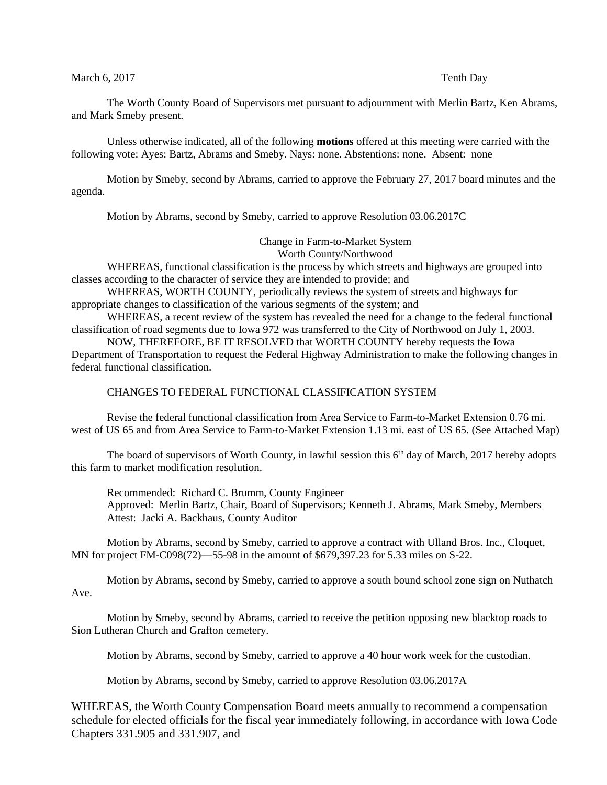## March 6, 2017 Tenth Day

The Worth County Board of Supervisors met pursuant to adjournment with Merlin Bartz, Ken Abrams, and Mark Smeby present.

Unless otherwise indicated, all of the following **motions** offered at this meeting were carried with the following vote: Ayes: Bartz, Abrams and Smeby. Nays: none. Abstentions: none. Absent: none

Motion by Smeby, second by Abrams, carried to approve the February 27, 2017 board minutes and the agenda.

Motion by Abrams, second by Smeby, carried to approve Resolution 03.06.2017C

Change in Farm-to-Market System Worth County/Northwood

WHEREAS, functional classification is the process by which streets and highways are grouped into classes according to the character of service they are intended to provide; and

WHEREAS, WORTH COUNTY, periodically reviews the system of streets and highways for appropriate changes to classification of the various segments of the system; and

WHEREAS, a recent review of the system has revealed the need for a change to the federal functional classification of road segments due to Iowa 972 was transferred to the City of Northwood on July 1, 2003.

NOW, THEREFORE, BE IT RESOLVED that WORTH COUNTY hereby requests the Iowa Department of Transportation to request the Federal Highway Administration to make the following changes in federal functional classification.

## CHANGES TO FEDERAL FUNCTIONAL CLASSIFICATION SYSTEM

Revise the federal functional classification from Area Service to Farm-to-Market Extension 0.76 mi. west of US 65 and from Area Service to Farm-to-Market Extension 1.13 mi. east of US 65. (See Attached Map)

The board of supervisors of Worth County, in lawful session this  $6<sup>th</sup>$  day of March, 2017 hereby adopts this farm to market modification resolution.

Recommended: Richard C. Brumm, County Engineer Approved: Merlin Bartz, Chair, Board of Supervisors; Kenneth J. Abrams, Mark Smeby, Members Attest: Jacki A. Backhaus, County Auditor

Motion by Abrams, second by Smeby, carried to approve a contract with Ulland Bros. Inc., Cloquet, MN for project FM-C098(72)—55-98 in the amount of \$679,397.23 for 5.33 miles on S-22.

Motion by Abrams, second by Smeby, carried to approve a south bound school zone sign on Nuthatch Ave.

Motion by Smeby, second by Abrams, carried to receive the petition opposing new blacktop roads to Sion Lutheran Church and Grafton cemetery.

Motion by Abrams, second by Smeby, carried to approve a 40 hour work week for the custodian.

Motion by Abrams, second by Smeby, carried to approve Resolution 03.06.2017A

WHEREAS, the Worth County Compensation Board meets annually to recommend a compensation schedule for elected officials for the fiscal year immediately following, in accordance with Iowa Code Chapters 331.905 and 331.907, and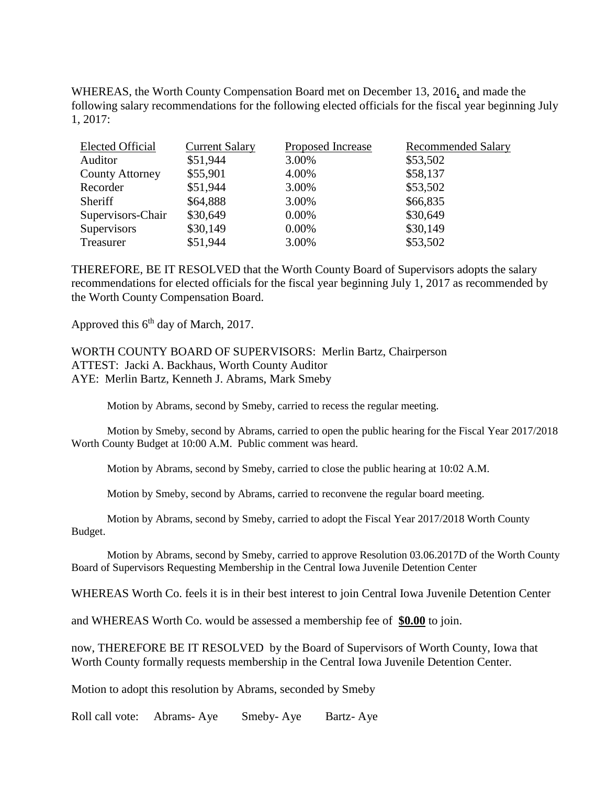WHEREAS, the Worth County Compensation Board met on December 13, 2016, and made the following salary recommendations for the following elected officials for the fiscal year beginning July 1, 2017:

| Elected Official       | <b>Current Salary</b> | Proposed Increase | <b>Recommended Salary</b> |
|------------------------|-----------------------|-------------------|---------------------------|
| Auditor                | \$51,944              | 3.00%             | \$53,502                  |
| <b>County Attorney</b> | \$55,901              | 4.00%             | \$58,137                  |
| Recorder               | \$51,944              | 3.00%             | \$53,502                  |
| Sheriff                | \$64,888              | 3.00%             | \$66,835                  |
| Supervisors-Chair      | \$30,649              | 0.00%             | \$30,649                  |
| Supervisors            | \$30,149              | 0.00%             | \$30,149                  |
| Treasurer              | \$51,944              | 3.00%             | \$53,502                  |

THEREFORE, BE IT RESOLVED that the Worth County Board of Supervisors adopts the salary recommendations for elected officials for the fiscal year beginning July 1, 2017 as recommended by the Worth County Compensation Board.

Approved this 6<sup>th</sup> day of March, 2017.

WORTH COUNTY BOARD OF SUPERVISORS: Merlin Bartz, Chairperson ATTEST: Jacki A. Backhaus, Worth County Auditor AYE: Merlin Bartz, Kenneth J. Abrams, Mark Smeby

Motion by Abrams, second by Smeby, carried to recess the regular meeting.

Motion by Smeby, second by Abrams, carried to open the public hearing for the Fiscal Year 2017/2018 Worth County Budget at 10:00 A.M. Public comment was heard.

Motion by Abrams, second by Smeby, carried to close the public hearing at 10:02 A.M.

Motion by Smeby, second by Abrams, carried to reconvene the regular board meeting.

Motion by Abrams, second by Smeby, carried to adopt the Fiscal Year 2017/2018 Worth County Budget.

Motion by Abrams, second by Smeby, carried to approve Resolution 03.06.2017D of the Worth County Board of Supervisors Requesting Membership in the Central Iowa Juvenile Detention Center

WHEREAS Worth Co. feels it is in their best interest to join Central Iowa Juvenile Detention Center

and WHEREAS Worth Co. would be assessed a membership fee of **\$0.00** to join.

now, THEREFORE BE IT RESOLVED by the Board of Supervisors of Worth County, Iowa that Worth County formally requests membership in the Central Iowa Juvenile Detention Center.

Motion to adopt this resolution by Abrams, seconded by Smeby

Roll call vote: Abrams- Aye Smeby- Aye Bartz- Aye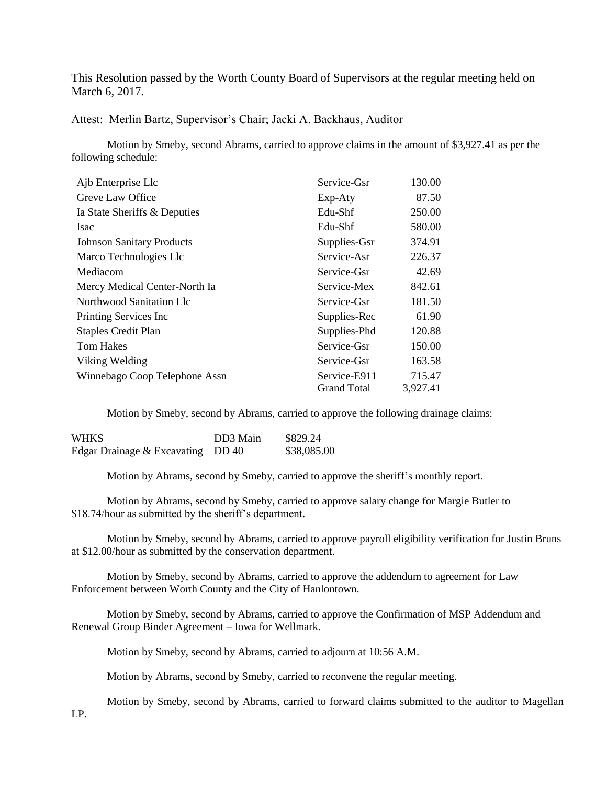This Resolution passed by the Worth County Board of Supervisors at the regular meeting held on March 6, 2017.

Attest: Merlin Bartz, Supervisor's Chair; Jacki A. Backhaus, Auditor

Motion by Smeby, second Abrams, carried to approve claims in the amount of \$3,927.41 as per the following schedule:

| Ajb Enterprise Llc               | Service-Gsr        | 130.00   |
|----------------------------------|--------------------|----------|
| Greve Law Office                 | Exp-Aty            | 87.50    |
| Ia State Sheriffs & Deputies     | Edu-Shf            | 250.00   |
| <b>Isac</b>                      | Edu-Shf            | 580.00   |
| <b>Johnson Sanitary Products</b> | Supplies-Gsr       | 374.91   |
| Marco Technologies Llc           | Service-Asr        | 226.37   |
| Mediacom                         | Service-Gsr        | 42.69    |
| Mercy Medical Center-North Ia    | Service-Mex        | 842.61   |
| Northwood Sanitation Llc         | Service-Gsr        | 181.50   |
| Printing Services Inc            | Supplies-Rec       | 61.90    |
| <b>Staples Credit Plan</b>       | Supplies-Phd       | 120.88   |
| <b>Tom Hakes</b>                 | Service-Gsr        | 150.00   |
| Viking Welding                   | Service-Gsr        | 163.58   |
| Winnebago Coop Telephone Assn    | Service-E911       | 715.47   |
|                                  | <b>Grand Total</b> | 3,927.41 |

Motion by Smeby, second by Abrams, carried to approve the following drainage claims:

| <b>WHKS</b>                       | DD3 Main | \$829.24    |
|-----------------------------------|----------|-------------|
| Edgar Drainage & Excavating DD 40 |          | \$38,085.00 |

Motion by Abrams, second by Smeby, carried to approve the sheriff's monthly report.

Motion by Abrams, second by Smeby, carried to approve salary change for Margie Butler to \$18.74/hour as submitted by the sheriff's department.

Motion by Smeby, second by Abrams, carried to approve payroll eligibility verification for Justin Bruns at \$12.00/hour as submitted by the conservation department.

Motion by Smeby, second by Abrams, carried to approve the addendum to agreement for Law Enforcement between Worth County and the City of Hanlontown.

Motion by Smeby, second by Abrams, carried to approve the Confirmation of MSP Addendum and Renewal Group Binder Agreement – Iowa for Wellmark.

Motion by Smeby, second by Abrams, carried to adjourn at 10:56 A.M.

Motion by Abrams, second by Smeby, carried to reconvene the regular meeting.

Motion by Smeby, second by Abrams, carried to forward claims submitted to the auditor to Magellan

LP.